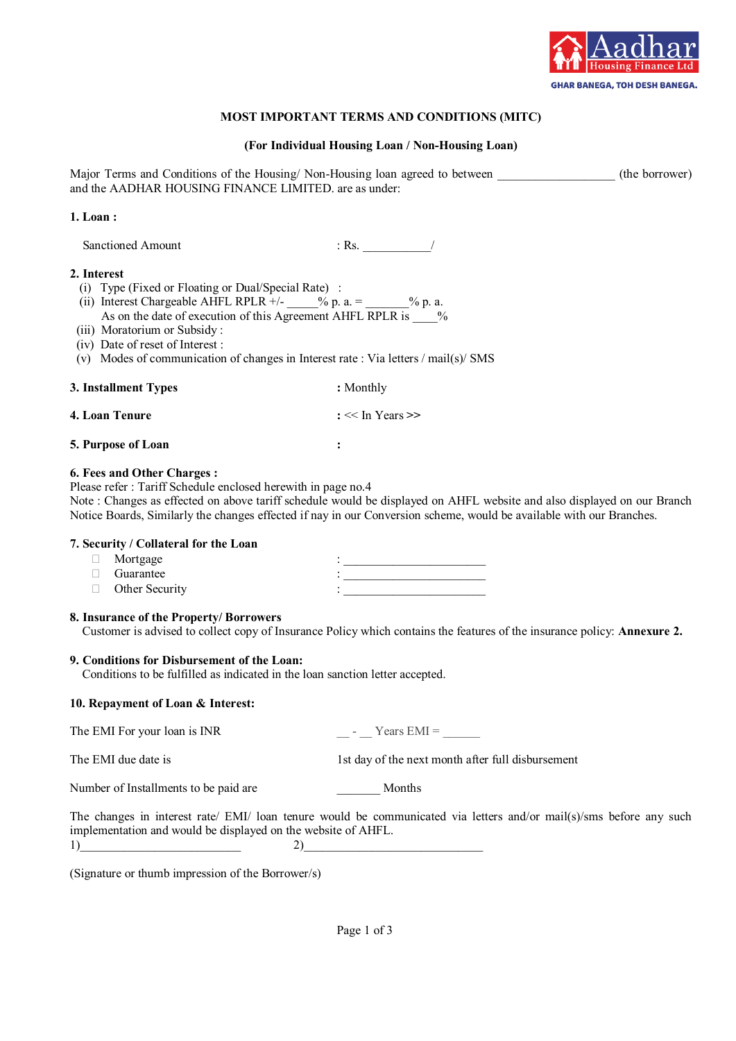

# **MOST IMPORTANT TERMS AND CONDITIONS (MITC)**

### **(For Individual Housing Loan / Non-Housing Loan)**

Major Terms and Conditions of the Housing/ Non-Housing loan agreed to between (the borrower) and the AADHAR HOUSING FINANCE LIMITED. are as under:

### **1. Loan :**

Sanctioned Amount : Rs.

#### **2. Interest**

- (i) Type (Fixed or Floating or Dual/Special Rate) :
- (ii) Interest Chargeable AHFL RPLR  $+/ \_\_\_\_$  % p. a. =  $\_\_\_\_\_$  % p. a. As on the date of execution of this Agreement AHFL RPLR is \_\_\_\_%
- (iii) Moratorium or Subsidy :
- (iv) Date of reset of Interest :
- (v) Modes of communication of changes in Interest rate : Via letters / mail(s)/ SMS

### **3. Installment Types :** Monthly

# **4. Loan Tenure :** << In Years **>>**

### **5. Purpose of Loan :**

# **6. Fees and Other Charges :**

Please refer : Tariff Schedule enclosed herewith in page no.4

Note : Changes as effected on above tariff schedule would be displayed on AHFL website and also displayed on our Branch Notice Boards, Similarly the changes effected if nay in our Conversion scheme, would be available with our Branches.

#### **7. Security / Collateral for the Loan**

| $\Box$ Mortgage       |  |
|-----------------------|--|
| $\Box$ Guarantee      |  |
| $\Box$ Other Security |  |

### **8. Insurance of the Property/ Borrowers**

Customer is advised to collect copy of Insurance Policy which contains the features of the insurance policy: **Annexure 2.**

# **9. Conditions for Disbursement of the Loan:**

Conditions to be fulfilled as indicated in the loan sanction letter accepted.

# **10. Repayment of Loan & Interest:**

The EMI For your loan is INR  $\blacksquare$  Pears EMI =

The EMI due date is 1st day of the next month after full disbursement

Number of Installments to be paid are **Months** 

The changes in interest rate/ EMI/ loan tenure would be communicated via letters and/or mail(s)/sms before any such implementation and would be displayed on the website of AHFL.  $1)$  (2)

(Signature or thumb impression of the Borrower/s)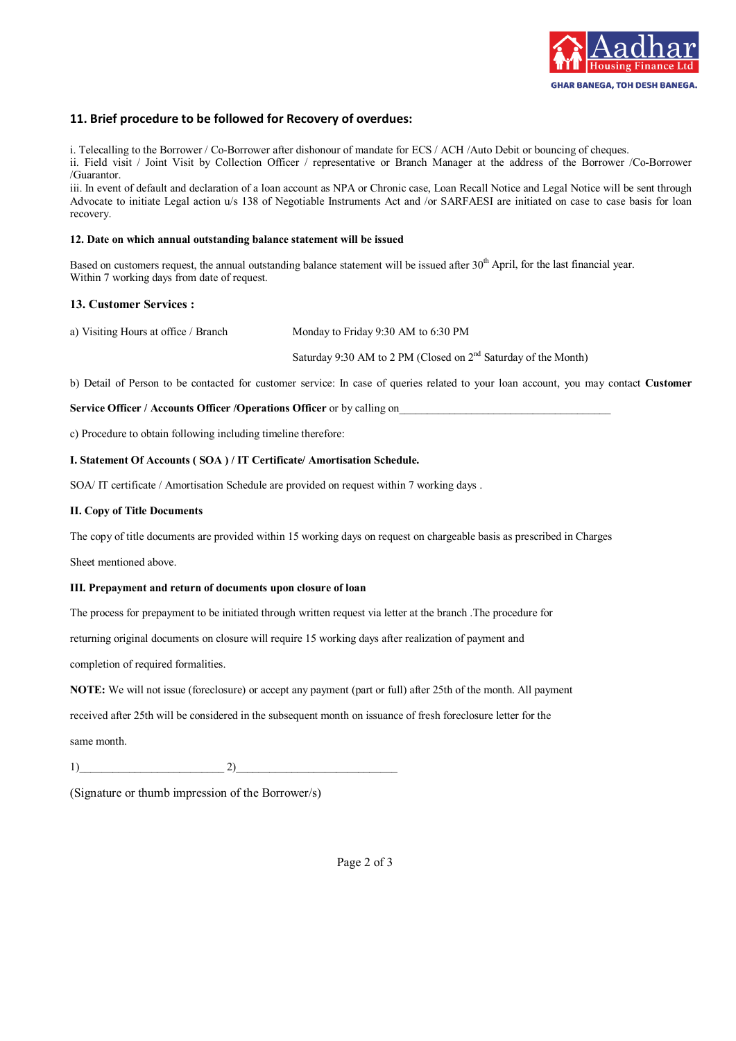

# **11. Brief procedure to be followed for Recovery of overdues:**

i. Telecalling to the Borrower / Co-Borrower after dishonour of mandate for ECS / ACH /Auto Debit or bouncing of cheques. ii. Field visit / Joint Visit by Collection Officer / representative or Branch Manager at the address of the Borrower /Co-Borrower /Guarantor.

iii. In event of default and declaration of a loan account as NPA or Chronic case, Loan Recall Notice and Legal Notice will be sent through Advocate to initiate Legal action u/s 138 of Negotiable Instruments Act and /or SARFAESI are initiated on case to case basis for loan recovery.

#### **12. Date on which annual outstanding balance statement will be issued**

Based on customers request, the annual outstanding balance statement will be issued after 30<sup>th</sup> April, for the last financial year. Within 7 working days from date of request.

#### **13. Customer Services :**

a) Visiting Hours at office / Branch Monday to Friday 9:30 AM to 6:30 PM

Saturday 9:30 AM to 2 PM (Closed on 2nd Saturday of the Month)

b) Detail of Person to be contacted for customer service: In case of queries related to your loan account, you may contact **Customer** 

**Service Officer / Accounts Officer / Operations Officer** or by calling on

c) Procedure to obtain following including timeline therefore:

#### **I. Statement Of Accounts ( SOA ) / IT Certificate/ Amortisation Schedule.**

SOA/ IT certificate / Amortisation Schedule are provided on request within 7 working days .

#### **II. Copy of Title Documents**

The copy of title documents are provided within 15 working days on request on chargeable basis as prescribed in Charges

Sheet mentioned above.

#### **III. Prepayment and return of documents upon closure of loan**

The process for prepayment to be initiated through written request via letter at the branch .The procedure for

returning original documents on closure will require 15 working days after realization of payment and

completion of required formalities.

**NOTE:** We will not issue (foreclosure) or accept any payment (part or full) after 25th of the month. All payment

received after 25th will be considered in the subsequent month on issuance of fresh foreclosure letter for the

same month.

 $1)$  2)

(Signature or thumb impression of the Borrower/s)

Page 2 of 3